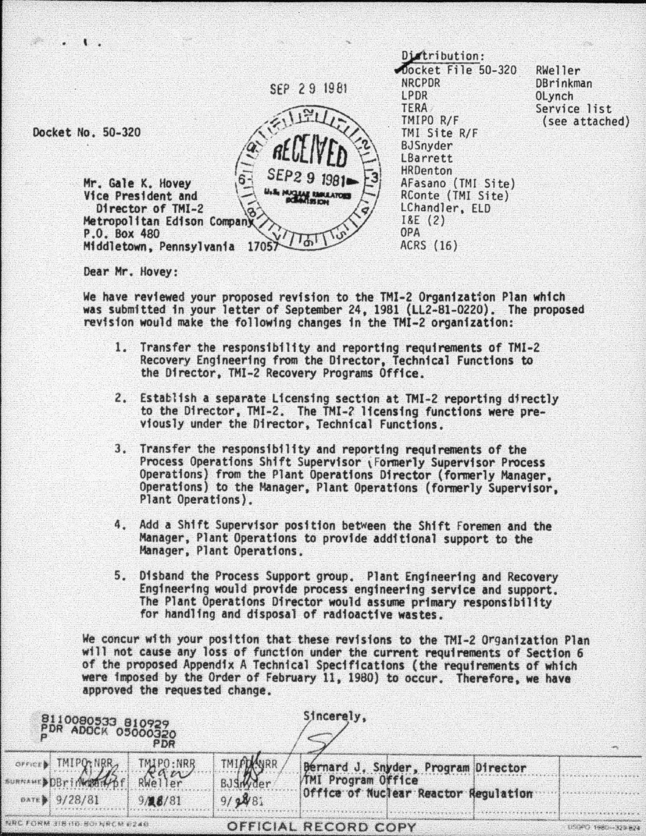

Dear Hr. Hovey:

We have reviewed your proposed revision to the TMI-2 Organization Plan which was submitted in your letter of September 24, 1981 {LL2-81-0220). The proposed revision would make the following changes in the THI-2 organization:

- 1. Transfer the responsibility and reporting requirements of THI-2 Recovery Engineering from the Director, Technical Functions to the Director, THI-2 Recovery Programs Office.
- 2. Establish a separate Licensing section at TMI-2 reporting directly to the Director, THI-2. The THI-2 licensing functions were pre- viously under the Director, Technical Functions.
- 3. Transfer the responsibility and reporting requirements of the Process Operations Shift Supervisor (Formerly Supervisor Process<br>Operations) from the Plant Operations Director (formerly Manager, Operations) to the Manager, Plant Operations (formerly Supervisor, Plant Operations).
- 4. Add a Shift Supervisor position between the Shift Foremen and the Manager, Plant Operations to provide additional support to the Manager, Plant Operations.
- 5. Disband the Process Support group. Plant Engineering and Recovery Engfneerfng would provide process engineering service and support. The Plant Operations Director would assume primary responsibility for handling and disposal of radioactive wastes.

We concur with your position that these revisions to the TMI-2 Organization Plan wtll not cause any loss of function under the current requirements of Section 6 of the proposed Appendfx A Technical Specifications (the requirements of whfch were imposed by the Order of February 11, 1980) to occur. Therefore, we have approved the requested change.

| 8110080533 810929<br>PDR ADOCK 05000320<br>PDR |                                                                            |         |                                  | Sincerely,                                                                                                |  |                    |
|------------------------------------------------|----------------------------------------------------------------------------|---------|----------------------------------|-----------------------------------------------------------------------------------------------------------|--|--------------------|
|                                                | SPECIED TMIPO-NRR TMIPO-NRR<br>UNIVERSITY RESERVED BY A 22<br>DATE 9/28/81 | 9/28/81 | TMIAN WRR<br>BJSIN der<br>9/2881 | Bernard J. Snyder, Program Director<br><b>/TMI Program Office</b><br>Office of Nuclear Reactor Regulation |  |                    |
| NRC FORM 318 HOLBOTNRCM 0240                   |                                                                            |         |                                  | OFFICIAL RECORD COPY                                                                                      |  | APAPO TOCOMOS BRIA |